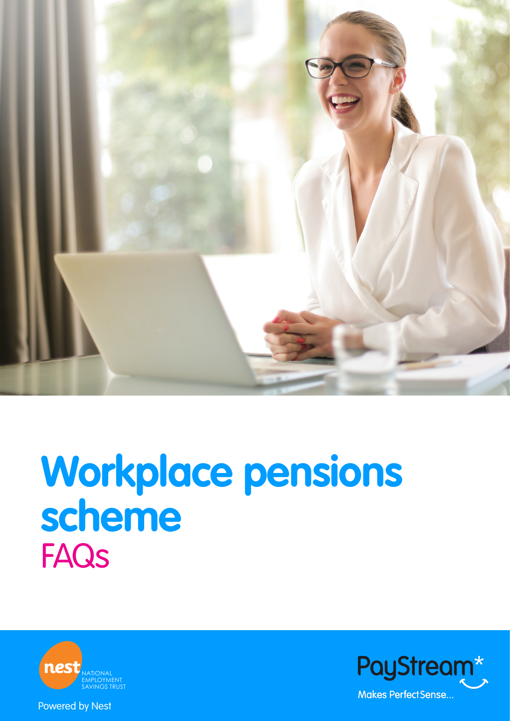

# **Workplace pensions scheme FAQs**





Powered by Nest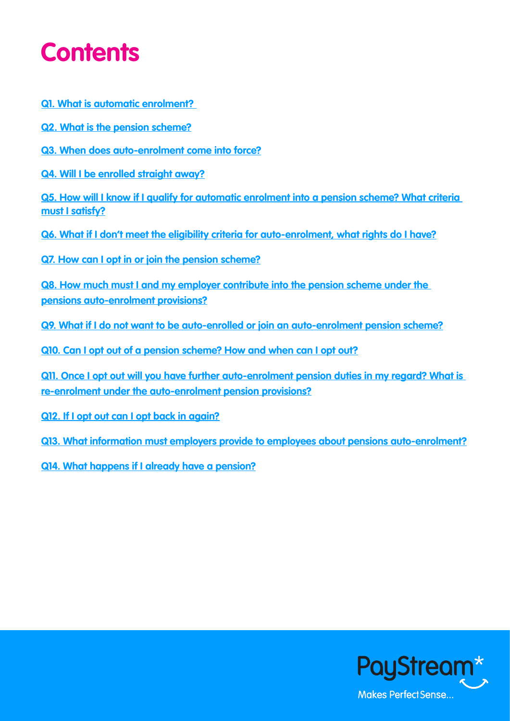## <span id="page-1-0"></span>**Contents**

**Q1. [What is automatic enrolment?](#page-2-0)** 

**Q2. [What is the pension scheme?](#page-2-0)**

**Q3. [When does auto-enrolment come into force?](#page-2-0)**

**Q4. [Will I be enrolled straight away?](#page-2-0)**

**Q5. [How will I know if I qualify for automatic enrolment into a pension scheme? What criteria](#page-3-0)  [must I satisfy?](#page-3-0)**

**Q6. [What if I don't meet the eligibility criteria for auto-enrolment, what rights do I have?](#page-3-0)**

**Q7. [How can I opt in or join the pension scheme?](#page-4-0)**

**Q8. [How much must I and my employer contribute into the pension scheme under the](#page-4-0)  [pensions auto-enrolment provisions?](#page-4-0)**

**Q9. [What if I do not want to be auto-enrolled or join an auto-enrolment pension scheme?](#page-4-0)**

**[Q10. Can I opt out of a pension scheme? How and when can I opt out?](#page-5-0)**

**Q11. [Once I opt out will you have further auto-enrolment pension duties in my regard? What is](#page-5-0)  [re-enrolment under the auto-enrolment pension provisions?](#page-5-0)**

**Q12. [If I opt out can I opt back in again?](#page-5-0)**

**Q13. [What information must employers provide to employees about pensions auto-enrolment?](#page-6-0)**

**Q14. [What happens if I already have a pension?](#page-6-0)**

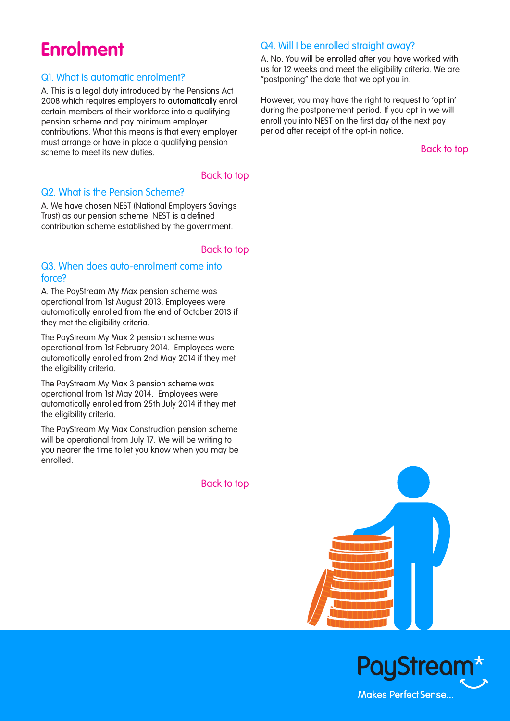### <span id="page-2-0"></span>**Enrolment**

### Q1. What is automatic enrolment?

A. This is a legal duty introduced by the Pensions Act 2008 which requires employers to automatically enrol certain members of their workforce into a qualifying pension scheme and pay minimum employer contributions. What this means is that every employer must arrange or have in place a qualifying pension scheme to meet its new duties.

### [Back to top](#page-1-0)

### Q2. What is the Pension Scheme?

A. We have chosen NEST (National Employers Savings Trust) as our pension scheme. NEST is a defined contribution scheme established by the government.

### [Back to top](#page-1-0)

### Q3. When does auto-enrolment come into force?

A. The PayStream My Max pension scheme was operational from 1st August 2013. Employees were automatically enrolled from the end of October 2013 if they met the eligibility criteria.

The PayStream My Max 2 pension scheme was operational from 1st February 2014. Employees were automatically enrolled from 2nd May 2014 if they met the eligibility criteria.

The PayStream My Max 3 pension scheme was operational from 1st May 2014. Employees were automatically enrolled from 25th July 2014 if they met the eligibility criteria.

The PayStream My Max Construction pension scheme will be operational from July 17. We will be writing to you nearer the time to let you know when you may be enrolled.

[Back to top](#page-1-0) 

### Q4. Will I be enrolled straight away?

A. No. You will be enrolled after you have worked with us for 12 weeks and meet the eligibility criteria. We are "postponing" the date that we opt you in.

However, you may have the right to request to 'opt in' during the postponement period. If you opt in we will enroll you into NEST on the first day of the next pay period after receipt of the opt-in notice.



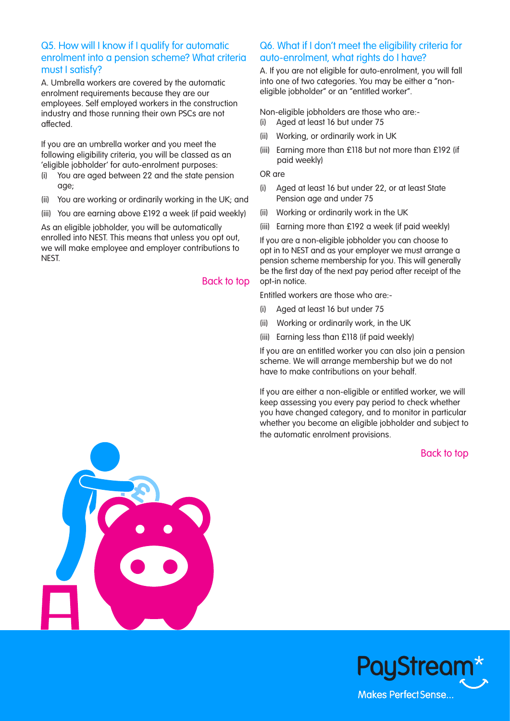### <span id="page-3-0"></span>Q5. How will I know if I qualify for automatic enrolment into a pension scheme? What criteria must I satisfy?

A. Umbrella workers are covered by the automatic enrolment requirements because they are our employees. Self employed workers in the construction industry and those running their own PSCs are not affected.

If you are an umbrella worker and you meet the following eligibility criteria, you will be classed as an 'eligible jobholder' for auto-enrolment purposes:

- (i) You are aged between 22 and the state pension age;
- (ii) You are working or ordinarily working in the UK; and
- (iii) You are earning above £192 a week (if paid weekly)

As an eligible jobholder, you will be automatically enrolled into NEST. This means that unless you opt out, we will make employee and employer contributions to NEST.

### [Back to top](#page-1-0)

### Q6. What if I don't meet the eligibility criteria for auto-enrolment, what rights do I have?

A. If you are not eligible for auto-enrolment, you will fall into one of two categories. You may be either a "noneligible jobholder" or an "entitled worker".

Non-eligible jobholders are those who are:-

- (i) Aged at least 16 but under 75
- (ii) Working, or ordinarily work in UK
- (iii) Earning more than £118 but not more than £192 (if paid weekly)

#### OR are

- (i) Aged at least 16 but under 22, or at least State Pension age and under 75
- (ii) Working or ordinarily work in the UK
- (iii) Earning more than £192 a week (if paid weekly)

If you are a non-eligible jobholder you can choose to opt in to NEST and as your employer we must arrange a pension scheme membership for you. This will generally be the first day of the next pay period after receipt of the opt-in notice.

Entitled workers are those who are:-

- (i) Aged at least 16 but under 75
- (ii) Working or ordinarily work, in the UK
- (iii) Earning less than £118 (if paid weekly)

If you are an entitled worker you can also join a pension scheme. We will arrange membership but we do not have to make contributions on your behalf.

If you are either a non-eligible or entitled worker, we will keep assessing you every pay period to check whether you have changed category, and to monitor in particular whether you become an eligible jobholder and subject to the automatic enrolment provisions.



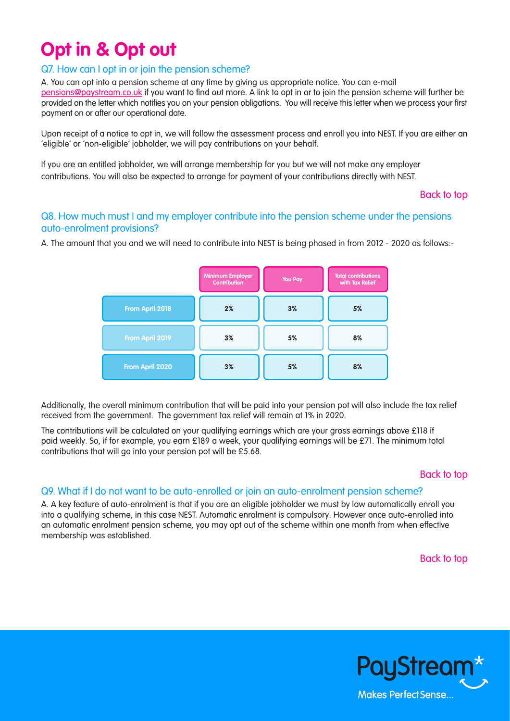### <span id="page-4-0"></span>**Opt in & Opt out**

### Q7. How can I opt in or join the pension scheme?

A. You can opt into a pension scheme at any time by giving us appropriate notice. You can e-mail pensions@paystream.co.uk if you want to find out more. A link to opt in or to join the pension scheme will further be provided on the letter which notifies you on your pension obligations. You will receive this letter when we process your first payment on or after our operational date.

Upon receipt of a notice to opt in, we will follow the assessment process and enroll you into NEST. If you are either an 'eligible' or 'non-eligible' jobholder, we will pay contributions on your behalf.

If you are an entitled jobholder, we will arrange membership for you but we will not make any employer contributions. You will also be expected to arrange for payment of your contributions directly with NEST.

[Back to top](#page-1-0)

### Q8. How much must I and my employer contribute into the pension scheme under the pensions auto-enrolment provisions?

A. The amount that you and we will need to contribute into NEST is being phased in from 2012 - 2020 as follows:-



Additionally, the overall minimum contribution that will be paid into your pension pot will also include the tax relief received from the government. The government tax relief will remain at 1% in 2020.

The contributions will be calculated on your qualifying earnings which are your gross earnings above £118 if paid weekly. So, if for example, you earn £189 a week, your qualifying earnings will be £71. The minimum total contributions that will go into your pension pot will be £5.68.

### [Back to top](#page-1-0)

### Q9. What if I do not want to be auto-enrolled or join an auto-enrolment pension scheme?

A. A key feature of auto-enrolment is that if you are an eligible jobholder we must by law automatically enroll you into a qualifying scheme, in this case NEST. Automatic enrolment is compulsory. However once auto-enrolled into an automatic enrolment pension scheme, you may opt out of the scheme within one month from when effective membership was established.

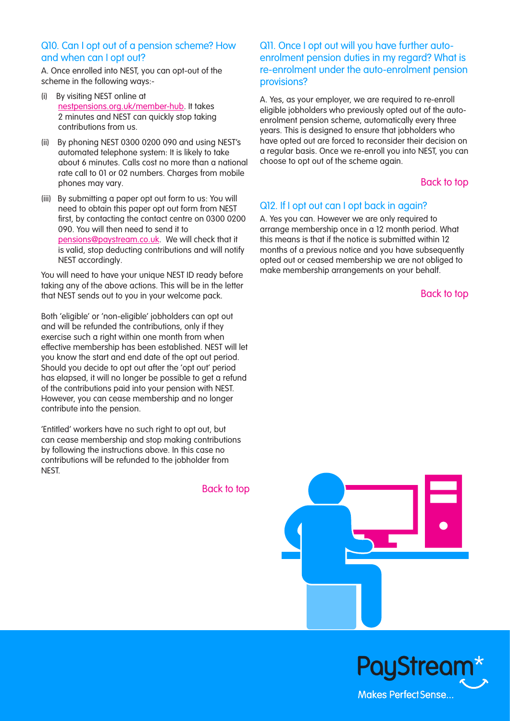### <span id="page-5-0"></span>Q10. Can I opt out of a pension scheme? How and when can I opt out?

A. Once enrolled into NEST, you can opt-out of the scheme in the following ways:-

- (i) By visiting NEST online at [nestpensions.org.uk/member-hub.](https://www.nestpensions.org.uk/schemeweb/NestWeb/faces/secure/USER_REG/pages/memberRegistrationPageAe.xhtml) It takes 2 minutes and NEST can quickly stop taking contributions from us.
- (ii) By phoning NEST 0300 0200 090 and using NEST's automated telephone system: It is likely to take about 6 minutes. Calls cost no more than a national rate call to 01 or 02 numbers. Charges from mobile phones may vary.
- (iii) By submitting a paper opt out form to us: You will need to obtain this paper opt out form from NEST first, by contacting the contact centre on 0300 0200 090. You will then need to send it to [pensions@paystream.co.uk.](mailto:pensions%40paystream.co.uk?subject=) We will check that it is valid, stop deducting contributions and will notify NEST accordingly.

You will need to have your unique NEST ID ready before taking any of the above actions. This will be in the letter that NEST sends out to you in your welcome pack.

Both 'eligible' or 'non-eligible' jobholders can opt out and will be refunded the contributions, only if they exercise such a right within one month from when effective membership has been established. NEST will let you know the start and end date of the opt out period. Should you decide to opt out after the 'opt out' period has elapsed, it will no longer be possible to get a refund of the contributions paid into your pension with NEST. However, you can cease membership and no longer contribute into the pension.

'Entitled' workers have no such right to opt out, but can cease membership and stop making contributions by following the instructions above. In this case no contributions will be refunded to the jobholder from NEST.

[Back to top](#page-1-0) 

### Q11. Once I opt out will you have further autoenrolment pension duties in my regard? What is re-enrolment under the auto-enrolment pension provisions?

A. Yes, as your employer, we are required to re-enroll eligible jobholders who previously opted out of the autoenrolment pension scheme, automatically every three years. This is designed to ensure that jobholders who have opted out are forced to reconsider their decision on a regular basis. Once we re-enroll you into NEST, you can choose to opt out of the scheme again.

### [Back to top](#page-1-0)

### Q12. If I opt out can I opt back in again?

A. Yes you can. However we are only required to arrange membership once in a 12 month period. What this means is that if the notice is submitted within 12 months of a previous notice and you have subsequently opted out or ceased membership we are not obliged to make membership arrangements on your behalf.